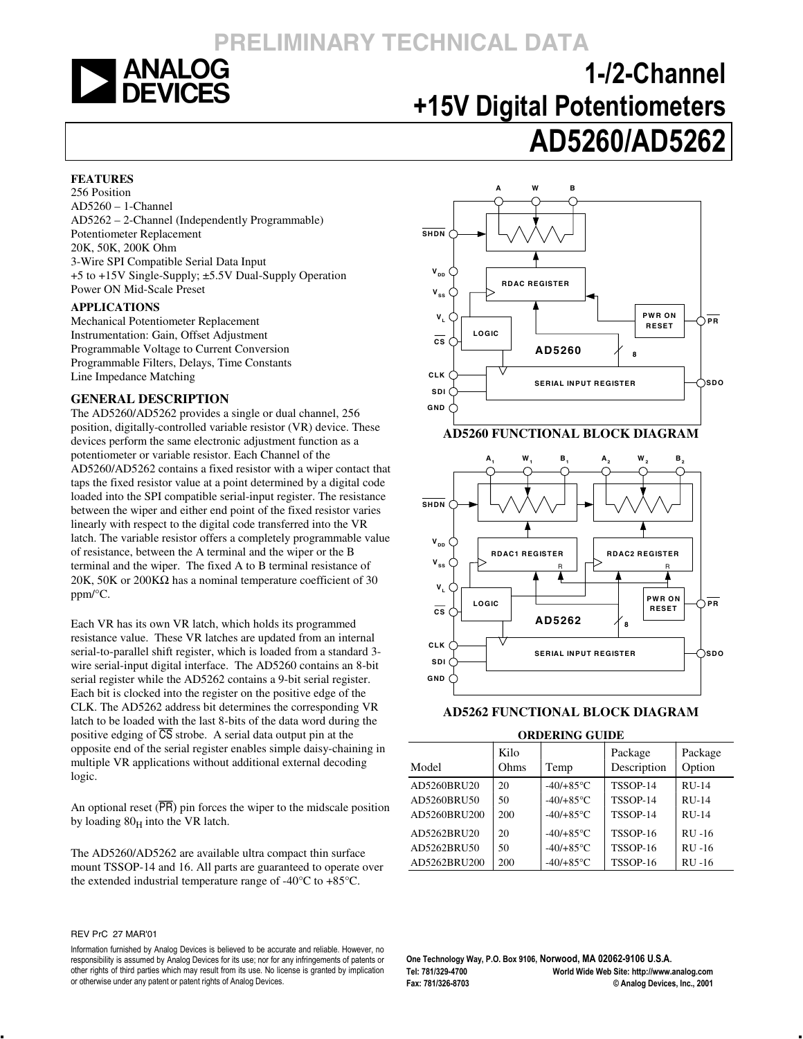

# **1-/2-Channel +15V Digital Potentiometers AD5260/AD5262**

#### **FEATURES**

256 Position AD5260 – 1-Channel AD5262 – 2-Channel (Independently Programmable) Potentiometer Replacement 20K, 50K, 200K Ohm 3-Wire SPI Compatible Serial Data Input +5 to +15V Single-Supply; ±5.5V Dual-Supply Operation Power ON Mid-Scale Preset

#### **APPLICATIONS**

Mechanical Potentiometer Replacement Instrumentation: Gain, Offset Adjustment Programmable Voltage to Current Conversion Programmable Filters, Delays, Time Constants Line Impedance Matching

#### **GENERAL DESCRIPTION**

The AD5260/AD5262 provides a single or dual channel, 256 position, digitally-controlled variable resistor (VR) device. These devices perform the same electronic adjustment function as a potentiometer or variable resistor. Each Channel of the AD5260/AD5262 contains a fixed resistor with a wiper contact that taps the fixed resistor value at a point determined by a digital code loaded into the SPI compatible serial-input register. The resistance between the wiper and either end point of the fixed resistor varies linearly with respect to the digital code transferred into the VR latch. The variable resistor offers a completely programmable value of resistance, between the A terminal and the wiper or the B terminal and the wiper. The fixed A to B terminal resistance of 20K, 50K or 200K $\Omega$  has a nominal temperature coefficient of 30 ppm/°C.

Each VR has its own VR latch, which holds its programmed resistance value. These VR latches are updated from an internal serial-to-parallel shift register, which is loaded from a standard 3 wire serial-input digital interface. The AD5260 contains an 8-bit serial register while the AD5262 contains a 9-bit serial register. Each bit is clocked into the register on the positive edge of the CLK. The AD5262 address bit determines the corresponding VR latch to be loaded with the last 8-bits of the data word during the positive edging of  $\overline{CS}$  strobe. A serial data output pin at the opposite end of the serial register enables simple daisy-chaining in multiple VR applications without additional external decoding logic.

An optional reset  $(\overline{PR})$  pin forces the wiper to the midscale position by loading  $80_H$  into the VR latch.

The AD5260/AD5262 are available ultra compact thin surface mount TSSOP-14 and 16. All parts are guaranteed to operate over the extended industrial temperature range of -40°C to +85°C.

#### REV PrC 27 MAR'01



#### **AD5262 FUNCTIONAL BLOCK DIAGRAM**

#### **ORDERING GUIDE**

| Model        | Kilo<br>Ohms | Temp                | Package<br>Description | Package<br>Option |
|--------------|--------------|---------------------|------------------------|-------------------|
| AD5260BRU20  | 20           | $-40/+85$ °C        | TSSOP-14               | $RU-14$           |
| AD5260BRU50  | 50           | $-40/+85^{\circ}$ C | TSSOP-14               | $RU-14$           |
| AD5260BRU200 | 200          | $-40/+85^{\circ}$ C | TSSOP-14               | $RU-14$           |
| AD5262BRU20  | 20           | $-40/+85^{\circ}$ C | <b>TSSOP-16</b>        | $RU-16$           |
| AD5262BRU50  | 50           | $-40/+85$ °C        | <b>TSSOP-16</b>        | $RU-16$           |
| AD5262BRU200 | 200          | $-40/+85$ °C        | TSSOP-16               | <b>RU-16</b>      |

**One Technology Way, P.O. Box 9106, Norwood, MA 02062-9106 U.S.A. Tel: 781/329-4700 World Wide Web Site: http://www.analog.com Fax: 781/326-8703 © Analog Devices, Inc., 2001**

Information furnished by Analog Devices is believed to be accurate and reliable. However, no responsibility is assumed by Analog Devices for its use; nor for any infringements of patents or other rights of third parties which may result from its use. No license is granted by implication or otherwise under any patent or patent rights of Analog Devices.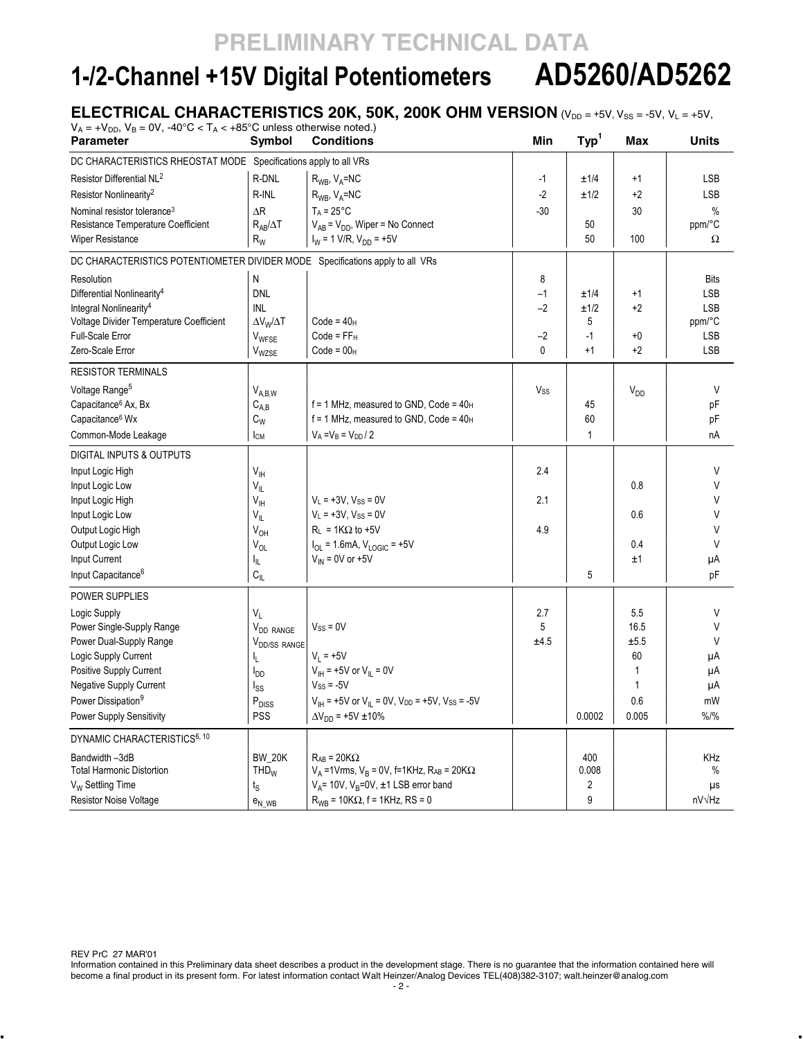# **1-/2-Channel +15V Digital Potentiometers AD5260/AD5262**

### **ELECTRICAL CHARACTERISTICS 20K, 50K, 200K OHM VERSION** (VDD = +5V, V<sub>SS</sub> = -5V, V<sub>L</sub> = +5V,

| $V_A = +V_{DD}$ , $V_B = 0V$ , $-40^{\circ}C < T_A < +85^{\circ}C$ unless otherwise noted.)<br><b>Parameter</b> | Symbol                       | <b>Conditions</b>                                                                           | Min      | Type <sup>1</sup> | Max          | <b>Units</b> |
|-----------------------------------------------------------------------------------------------------------------|------------------------------|---------------------------------------------------------------------------------------------|----------|-------------------|--------------|--------------|
| DC CHARACTERISTICS RHEOSTAT MODE Specifications apply to all VRs                                                |                              |                                                                                             |          |                   |              |              |
|                                                                                                                 |                              |                                                                                             |          |                   |              |              |
| Resistor Differential NL <sup>2</sup>                                                                           | R-DNL                        | $R_{WB}$ , $V_A = NC$                                                                       | $-1$     | ±1/4              | $+1$         | <b>LSB</b>   |
| Resistor Nonlinearity <sup>2</sup>                                                                              | R-INL                        | $R_{WB}$ , $V_A = NC$                                                                       | $-2$     | ±1/2              | +2           | <b>LSB</b>   |
| Nominal resistor tolerance <sup>3</sup>                                                                         | $\Delta$ R                   | $T_A = 25^{\circ}C$                                                                         | $-30$    |                   | 30           | $\%$         |
| Resistance Temperature Coefficient                                                                              | $R_{AB}/\Delta T$            | $V_{AB} = V_{DD}$ , Wiper = No Connect                                                      |          | 50                |              | ppm/°C       |
| <b>Wiper Resistance</b>                                                                                         | $R_W$                        | $I_W$ = 1 V/R, $V_{DD}$ = +5V                                                               |          | 50                | 100          | Ω            |
| DC CHARACTERISTICS POTENTIOMETER DIVIDER MODE Specifications apply to all VRs                                   |                              |                                                                                             |          |                   |              |              |
| Resolution                                                                                                      | Ν                            |                                                                                             | 8        |                   |              | <b>Bits</b>  |
| Differential Nonlinearity <sup>4</sup>                                                                          | <b>DNL</b>                   |                                                                                             | $-1$     | ±1/4              | $+1$         | LSB          |
| Integral Nonlinearity <sup>4</sup>                                                                              | <b>INL</b>                   |                                                                                             | $-2$     | ±1/2              | +2           | <b>LSB</b>   |
| Voltage Divider Temperature Coefficient                                                                         | $\Delta V_W/\Delta T$        | $Code = 40H$                                                                                |          | 5                 |              | ppm/°C       |
| Full-Scale Error                                                                                                | $V_{WFSE}$                   | $Code = FFH$                                                                                | $-2$     | $-1$              | +0           | LSB          |
| Zero-Scale Error                                                                                                | V <sub>WZSE</sub>            | $Code = 00H$                                                                                | $\Omega$ | $+1$              | $+2$         | <b>LSB</b>   |
| <b>RESISTOR TERMINALS</b>                                                                                       |                              |                                                                                             |          |                   |              |              |
| Voltage Range <sup>5</sup>                                                                                      | $V_{A,B,W}$                  |                                                                                             | Vss      |                   | $V_{DD}$     | V            |
| Capacitance <sup>6</sup> Ax, Bx                                                                                 | $C_{A,B}$                    | $f = 1$ MHz, measured to GND, Code = $40_H$                                                 |          | 45                |              | рF           |
| Capacitance <sup>6</sup> Wx                                                                                     | $\mathtt{C}_{\mathsf{W}}$    | $f = 1$ MHz, measured to GND, Code = $40H$                                                  |          | 60                |              | рF           |
| Common-Mode Leakage                                                                                             | Iсм                          | $V_A = V_B = V_{DD}/2$                                                                      |          | $\mathbf{1}$      |              | nA           |
| <b>DIGITAL INPUTS &amp; OUTPUTS</b>                                                                             |                              |                                                                                             |          |                   |              |              |
| Input Logic High                                                                                                | $V_{\text{H}}$               |                                                                                             | 2.4      |                   |              | V            |
| Input Logic Low                                                                                                 | $V_{IL}$                     |                                                                                             |          |                   | 0.8          | $\vee$       |
| Input Logic High                                                                                                | $V_{\parallel H}$            | $V_L = +3V$ , $V_{SS} = 0V$                                                                 | 2.1      |                   |              | V            |
| Input Logic Low                                                                                                 | $V_{\parallel}$              | $V_L = +3V$ , $V_{SS} = 0V$                                                                 |          |                   | 0.6          | V            |
| Output Logic High                                                                                               | $V_{OH}$                     | $R_{L}$ = 1K $\Omega$ to +5V                                                                | 4.9      |                   |              | V            |
| Output Logic Low                                                                                                | $V_{OL}$                     | $I_{OL} = 1.6$ mA, $V_{LOGIC} = +5V$                                                        |          |                   | 0.4          | V            |
| Input Current                                                                                                   | I <sub>IL</sub>              | $V_{IN}$ = 0V or +5V                                                                        |          |                   | ±1           | μA           |
| Input Capacitance <sup>6</sup>                                                                                  | $C_{ L}$                     |                                                                                             |          | 5                 |              | рF           |
|                                                                                                                 |                              |                                                                                             |          |                   |              |              |
| POWER SUPPLIES                                                                                                  |                              |                                                                                             | 2.7      |                   | 5.5          | V            |
| Logic Supply                                                                                                    | $V_L$                        |                                                                                             | 5        |                   | 16.5         | V            |
| Power Single-Supply Range                                                                                       | V <sub>DD</sub> RANGE        | $V_{SS} = 0V$                                                                               |          |                   |              | V            |
| Power Dual-Supply Range                                                                                         | V <sub>DD/SS</sub> RANGE     | $V_1 = +5V$                                                                                 | ±4.5     |                   | ±5.5<br>60   |              |
| Logic Supply Current                                                                                            | IL.                          |                                                                                             |          |                   | $\mathbf{1}$ | μA           |
| Positive Supply Current                                                                                         | l <sub>DD</sub>              | $V_{\text{IH}}$ = +5V or $V_{\text{IL}}$ = 0V                                               |          |                   | 1            | μA           |
| <b>Negative Supply Current</b>                                                                                  | $I_{SS}$                     | $V_{SS} = -5V$                                                                              |          |                   |              | μA           |
| Power Dissipation <sup>9</sup>                                                                                  | $\mathsf{P}_{\mathsf{DISS}}$ | $V_{\text{IH}}$ = +5V or V <sub>IL</sub> = 0V, V <sub>DD</sub> = +5V, V <sub>SS</sub> = -5V |          |                   | 0.6          | mW           |
| Power Supply Sensitivity                                                                                        | <b>PSS</b>                   | $\Delta V_{DD}$ = +5V ±10%                                                                  |          | 0.0002            | 0.005        | %1%          |
| DYNAMIC CHARACTERISTICS <sup>6, 10</sup>                                                                        |                              |                                                                                             |          |                   |              |              |
| Bandwidth -3dB                                                                                                  | <b>BW 20K</b>                | $R_{AB} = 20K\Omega$                                                                        |          | 400               |              | KHz          |
| <b>Total Harmonic Distortion</b>                                                                                | $THD_W$                      | $V_A$ = 1 Vrms, $V_B$ = 0 V, f = 1 KHz, RAB = 20 K $\Omega$                                 |          | 0.008             |              | %            |
| V <sub>w</sub> Settling Time                                                                                    | ts                           | $V_A$ = 10V, $V_B$ =0V, $\pm$ 1 LSB error band                                              |          | $\overline{2}$    |              | μs           |
| <b>Resistor Noise Voltage</b>                                                                                   | $e_{N}$ WB                   | $R_{WB}$ = 10K $\Omega$ , f = 1KHz, RS = 0                                                  |          | 9                 |              | nV√Hz        |

REV PrC 27 MAR'01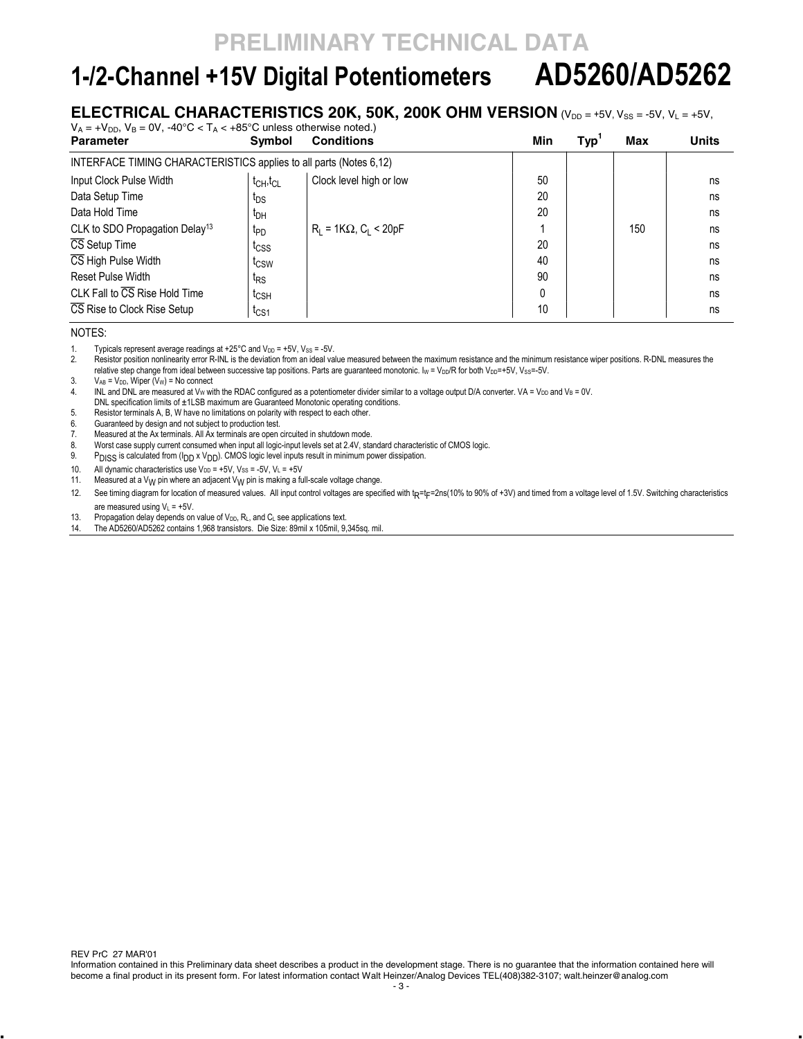# **1-/2-Channel +15V Digital Potentiometers AD5260/AD5262**

### **ELECTRICAL CHARACTERISTICS 20K, 50K, 200K OHM VERSION** (VDD = +5V, V<sub>SS</sub> = -5V, V<sub>L</sub> = +5V,

| $V_A = +V_{DD}$ , $V_B = 0V$ , $-40^{\circ}C < T_A < +85^{\circ}C$ unless otherwise noted.) |                                   |                                 |     |            |     |              |
|---------------------------------------------------------------------------------------------|-----------------------------------|---------------------------------|-----|------------|-----|--------------|
| <b>Parameter</b>                                                                            | <b>Symbol</b>                     | <b>Conditions</b>               | Min | <b>Typ</b> | Max | <b>Units</b> |
| INTERFACE TIMING CHARACTERISTICS applies to all parts (Notes 6.12)                          |                                   |                                 |     |            |     |              |
| Input Clock Pulse Width                                                                     | $t_{\text{CH}}$ , $t_{\text{CL}}$ | Clock level high or low         | 50  |            |     | ns           |
| Data Setup Time                                                                             | t <sub>DS</sub>                   |                                 | 20  |            |     | ns           |
| Data Hold Time                                                                              | $t_{DH}$                          |                                 | 20  |            |     | ns           |
| CLK to SDO Propagation Delay <sup>13</sup>                                                  | t <sub>PD</sub>                   | $R_1 = 1K\Omega$ , $C_1 < 20pF$ |     |            | 150 | ns           |
| CS Setup Time                                                                               | t <sub>CSS</sub>                  |                                 | 20  |            |     | ns           |
| CS High Pulse Width                                                                         | t <sub>CSW</sub>                  |                                 | 40  |            |     | ns           |
| Reset Pulse Width                                                                           | t <sub>RS</sub>                   |                                 | 90  |            |     | ns           |
| CLK Fall to $\overline{\text{CS}}$ Rise Hold Time                                           | $t_{\text{CSH}}$                  |                                 |     |            |     | ns           |
| CS Rise to Clock Rise Setup                                                                 | t <sub>CS1</sub>                  |                                 | 10  |            |     | ns           |

NOTES:

1. Typicals represent average readings at  $+25^{\circ}$ C and  $V_{DD} = +5V$ , Vss = -5V.<br>2. Resistor position nonlinearity error R-INL is the deviation from an ideal va Resistor position nonlinearity error R-INL is the deviation from an ideal value measured between the maximum resistance and the minimum resistance wiper positions. R-DNL measures the relative step change from ideal between successive tap positions. Parts are guaranteed monotonic. Iw = V<sub>DD</sub>/R for both V<sub>DD</sub>=+5V, V<sub>SS</sub>=-5V.

3.  $V_{AB} = V_{DD}$ , Wiper  $(V_W) = No$  connect<br>4. INL and DNL are measured at  $V_W$  with INL and DNL are measured at Vw with the RDAC configured as a potentiometer divider similar to a voltage output D/A converter. VA = V<sub>DD</sub> and V<sub>B</sub> = 0V. DNL specification limits of ±1LSB maximum are Guaranteed Monotonic operating conditions.

5. Resistor terminals A, B, W have no limitations on polarity with respect to each other.

6. Guaranteed by design and not subject to production test.

7. Measured at the Ax terminals. All Ax terminals are open circuited in shutdown mode.

8. Worst case supply current consumed when input all logic-input levels set at 2.4V, standard characteristic of CMOS logic.

9. PDISS is calculated from (I<sub>DD</sub> x V<sub>DD</sub>). CMOS logic level inputs result in minimum power dissipation.

10. All dynamic characteristics use  $V_{DD} = +5V$ ,  $V_{SS} = -5V$ ,  $V_L = +5V$ 

11. Measured at a V<sub>W</sub> pin where an adjacent V<sub>W</sub> pin is making a full-scale voltage change.

12. See timing diagram for location of measured values. All input control voltages are specified with t<sub>R</sub>=t<sub>F</sub>=2ns(10% to 90% of +3V) and timed from a voltage level of 1.5V. Switching characteristics are measured using  $V_L = +5V$ .

13. Propagation delay depends on value of  $V_{DD}$ ,  $R_L$ , and  $C_L$  see applications text.

14. The AD5260/AD5262 contains 1,968 transistors. Die Size: 89mil x 105mil, 9,345sq. mil.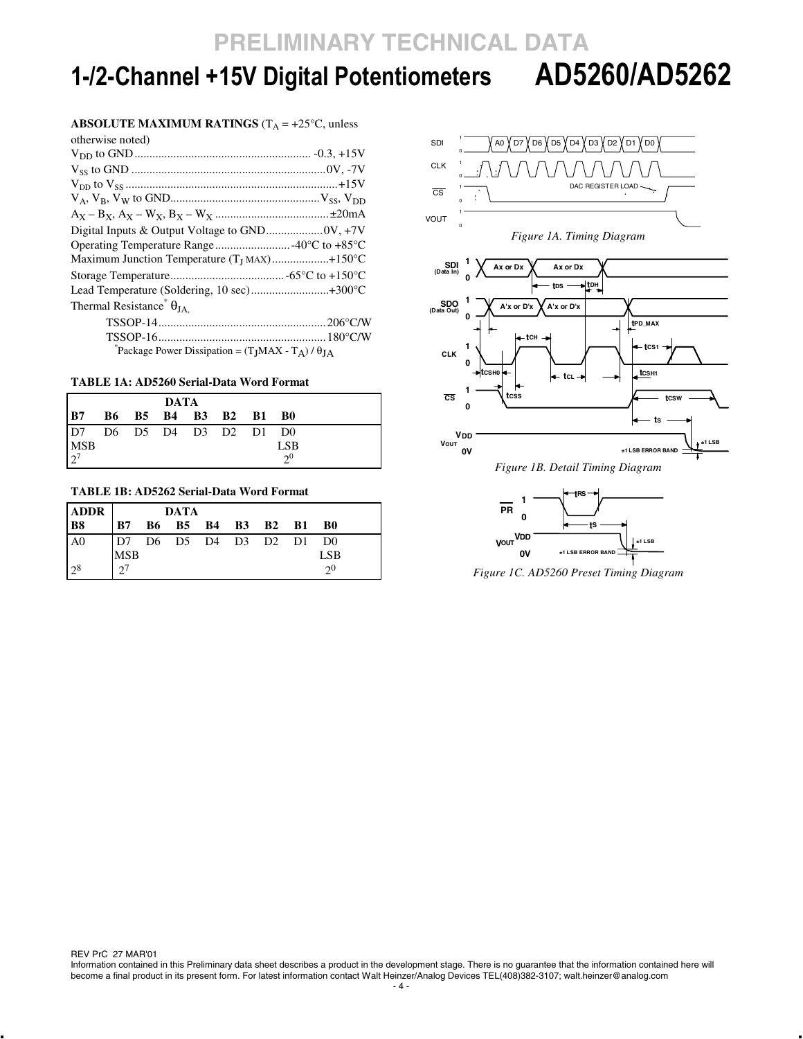# **1-/2-Channel +15V Digital Potentiometers AD5260/AD5262**

#### **ABSOLUTE MAXIMUM RATINGS** ( $T_A = +25^\circ C$ , unless

| otherwise noted)                                            |
|-------------------------------------------------------------|
|                                                             |
|                                                             |
|                                                             |
|                                                             |
|                                                             |
|                                                             |
|                                                             |
| Maximum Junction Temperature $(T_I$ MAX)+150°C              |
|                                                             |
|                                                             |
| Thermal Resistance <sup>*</sup> $\theta_{JA}$ .             |
|                                                             |
|                                                             |
| Package Power Dissipation = $(T_I MAX - T_A) / \theta_{IA}$ |

### **TABLE 1A: AD5260 Serial-Data Word Format**

| <b>DATA</b>                          |  |  |  |  |  |            |
|--------------------------------------|--|--|--|--|--|------------|
| B7 B6 B5 B4 B3 B2 B1 B0              |  |  |  |  |  |            |
| $\overline{D7}$ D6 D5 D4 D3 D2 D1 D0 |  |  |  |  |  |            |
| $MSB$<br>$2^7$                       |  |  |  |  |  | <b>LSB</b> |
|                                      |  |  |  |  |  | $2^0$      |

#### **TABLE 1B: AD5262 Serial-Data Word Format**

| <b>ADDR</b>    |                         | DATA                 |  |  |                |
|----------------|-------------------------|----------------------|--|--|----------------|
| <b>B8</b>      |                         | B7 B6 B5 B4 B3 B2 B1 |  |  | - B0           |
| A <sub>0</sub> | D7 D6 D5 D4 D3 D2 D1 D0 |                      |  |  |                |
|                | MSB                     |                      |  |  | LSB            |
| $2^8$          | $2^7$                   |                      |  |  | 2 <sub>0</sub> |



**±1 LSB ERROR BAND** *Figure 1C. AD5260 Preset Timing Diagram* 

**0V**

REV PrC 27 MAR'01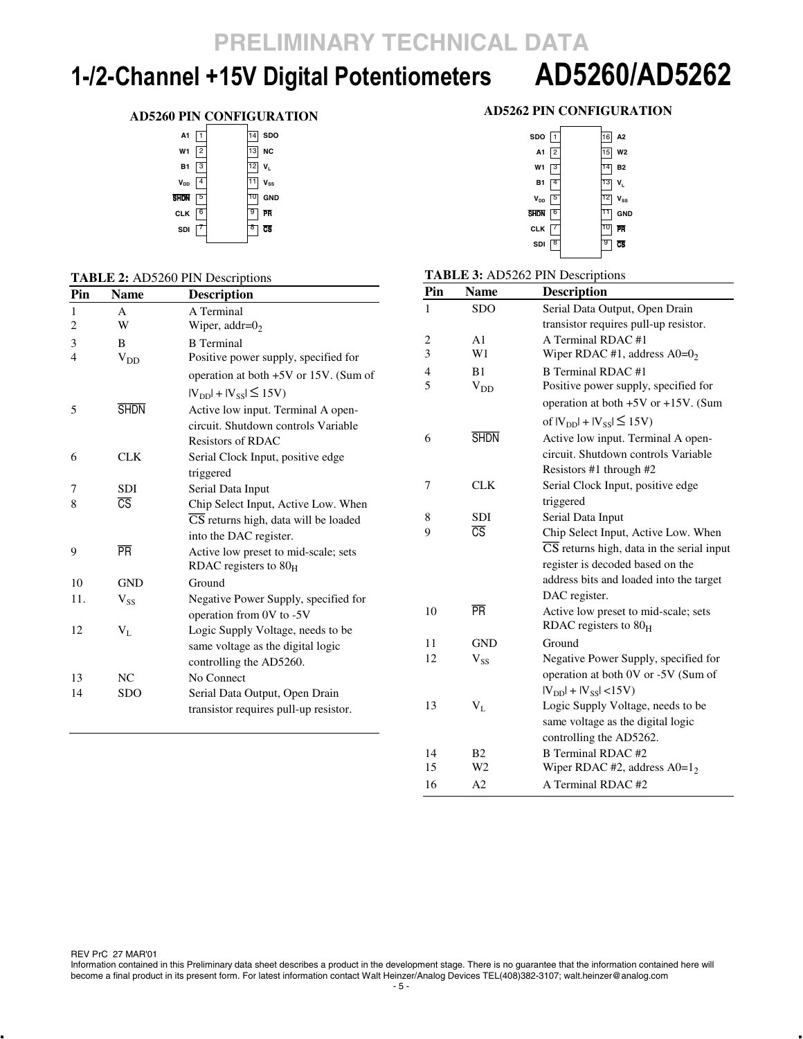# **1-/2-Channel +15V Digital Potentiometers AD5260/AD5262**

### **AD5260 PIN CONFIGURATION**

| A1             |                |    | <b>SDO</b>     |
|----------------|----------------|----|----------------|
| W <sub>1</sub> | $\overline{c}$ | ĪЗ | <b>NC</b>      |
| <b>B1</b>      | з              | 12 | V <sub>L</sub> |
| $V_{DD}$       | 4              |    | <b>Vss</b>     |
| shon           | 5              |    | <b>GND</b>     |
| <b>CLK</b>     | 6              | 9  | PR             |
| SDI            |                | 8  | ভ              |
|                |                |    |                |

### **TABLE 2:** AD5260 PIN Descriptions

| Pin            | <b>Name</b>            | <b>Description</b>                    |
|----------------|------------------------|---------------------------------------|
| 1              | $\mathsf{A}$           | A Terminal                            |
| $\overline{2}$ | W                      | Wiper, addr= $02$                     |
| 3              | B                      | <b>B</b> Terminal                     |
| $\overline{4}$ | $V_{DD}$               | Positive power supply, specified for  |
|                |                        | operation at both +5V or 15V. (Sum of |
|                |                        | $ V_{DD}  +  V_{SS}  \le 15V$         |
| 5              | <b>SHDN</b>            | Active low input. Terminal A open-    |
|                |                        | circuit. Shutdown controls Variable   |
|                |                        | <b>Resistors of RDAC</b>              |
| 6              | CLK                    | Serial Clock Input, positive edge     |
|                |                        | triggered                             |
| 7              | <b>SDI</b>             | Serial Data Input                     |
| 8              | $\overline{\text{CS}}$ | Chip Select Input, Active Low. When   |
|                |                        | CS returns high, data will be loaded  |
|                |                        | into the DAC register.                |
| 9              | <b>PR</b>              | Active low preset to mid-scale; sets  |
|                |                        | RDAC registers to $80H$               |
| 10             | <b>GND</b>             | Ground                                |
| 11.            | $V_{SS}$               | Negative Power Supply, specified for  |
|                |                        | operation from 0V to -5V              |
| 12             | $V_{L}$                | Logic Supply Voltage, needs to be     |
|                |                        | same voltage as the digital logic     |
|                |                        | controlling the AD5260.               |
| 13             | NC.                    | No Connect                            |
| 14             | <b>SDO</b>             | Serial Data Output, Open Drain        |
|                |                        | transistor requires pull-up resistor. |

### **AD5262 PIN CONFIGURATION**

| SDO 1     |                | 16 A2 |                |
|-----------|----------------|-------|----------------|
| А1        | 2              | 15    | W <sub>2</sub> |
| W1        | 3              | 4     | <b>B2</b>      |
| <b>B1</b> | $\overline{4}$ | 13    | V <sub>L</sub> |
| $V_{DD}$  | 5              | 12    | $V_{SS}$       |
| Shon      | $\sqrt{6}$     |       | <b>GND</b>     |
| CLK       |                |       | 所              |
| SDI       |                |       | σŝ             |
|           |                |       |                |

#### **TABLE 3:** AD5262 PIN Descriptions

| Pin                      | <b>Name</b>            | <b>Description</b>                                            |
|--------------------------|------------------------|---------------------------------------------------------------|
| 1                        | <b>SDO</b>             | Serial Data Output, Open Drain                                |
|                          |                        | transistor requires pull-up resistor.                         |
| 2                        | A1                     | A Terminal RDAC#1                                             |
| $\overline{3}$           | W1                     | Wiper RDAC #1, address $A0=0_2$                               |
| $\overline{\mathcal{L}}$ | B <sub>1</sub>         | <b>B</b> Terminal RDAC#1                                      |
| 5                        | $V_{DD}$               | Positive power supply, specified for                          |
|                          |                        | operation at both +5V or +15V. (Sum                           |
|                          |                        | of $ V_{\text{DD}} $ + $ V_{\text{SS}}  \le 15V$              |
| 6                        | <b>SHDN</b>            | Active low input. Terminal A open-                            |
|                          |                        | circuit. Shutdown controls Variable                           |
|                          |                        | Resistors #1 through #2                                       |
| 7                        | <b>CLK</b>             | Serial Clock Input, positive edge                             |
|                          |                        | triggered                                                     |
| 8                        | <b>SDI</b>             | Serial Data Input                                             |
| 9                        | $\overline{\text{CS}}$ | Chip Select Input, Active Low. When                           |
|                          |                        | $\overline{\text{CS}}$ returns high, data in the serial input |
|                          |                        | register is decoded based on the                              |
|                          |                        | address bits and loaded into the target                       |
|                          |                        | DAC register.                                                 |
| 10                       | <b>PR</b>              | Active low preset to mid-scale; sets                          |
|                          |                        | RDAC registers to $80H$                                       |
| 11                       | GND                    | Ground                                                        |
| 12                       | $V_{SS}$               | Negative Power Supply, specified for                          |
|                          |                        | operation at both 0V or -5V (Sum of                           |
|                          |                        | $ V_{DD}  +  V_{SS}  < 15V$                                   |
| 13                       | $V_{L}$                | Logic Supply Voltage, needs to be                             |
|                          |                        | same voltage as the digital logic                             |
|                          |                        | controlling the AD5262.                                       |
| 14                       | B <sub>2</sub>         | <b>B</b> Terminal RDAC #2                                     |
| 15                       | W2                     | Wiper RDAC #2, address $A0=12$                                |
| 16                       | A2                     | A Terminal RDAC #2                                            |

REV PrC 27 MAR'01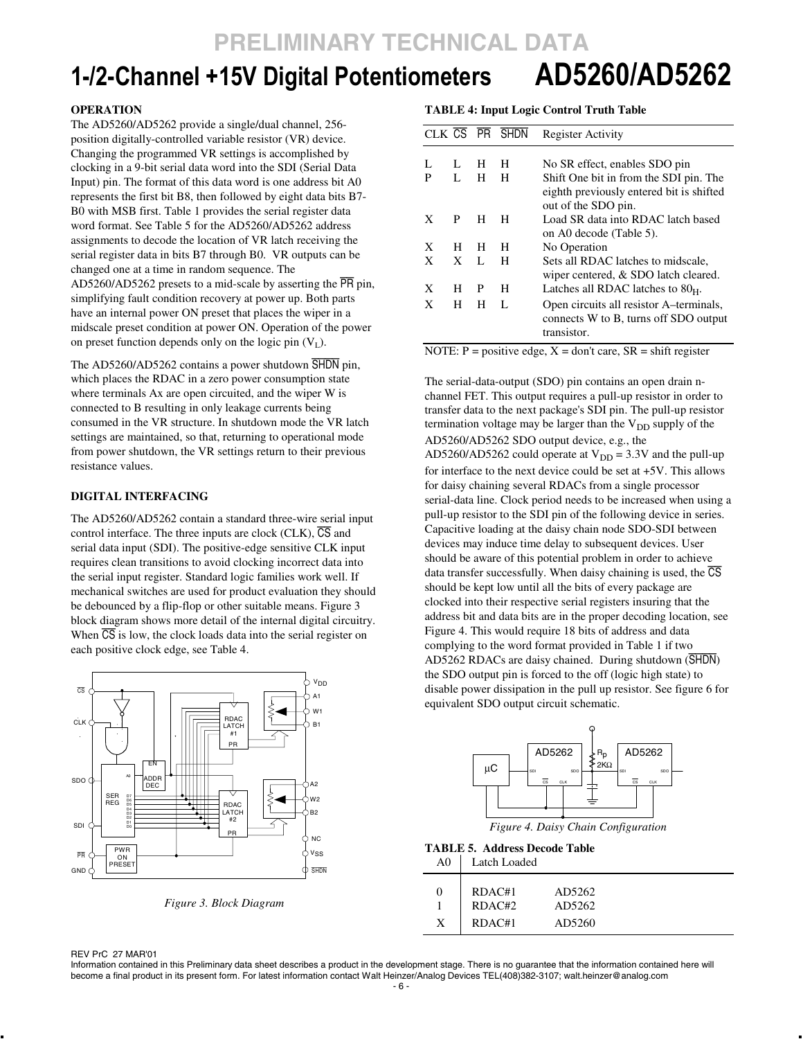# **1-/2-Channel +15V Digital Potentiometers AD5260/AD5262**

#### **OPERATION**

The AD5260/AD5262 provide a single/dual channel, 256 position digitally-controlled variable resistor (VR) device. Changing the programmed VR settings is accomplished by clocking in a 9-bit serial data word into the SDI (Serial Data Input) pin. The format of this data word is one address bit A0 represents the first bit B8, then followed by eight data bits B7- B0 with MSB first. Table 1 provides the serial register data word format. See Table 5 for the AD5260/AD5262 address assignments to decode the location of VR latch receiving the serial register data in bits B7 through B0. VR outputs can be changed one at a time in random sequence. The AD5260/AD5262 presets to a mid-scale by asserting the PR pin, simplifying fault condition recovery at power up. Both parts have an internal power ON preset that places the wiper in a midscale preset condition at power ON. Operation of the power on preset function depends only on the logic pin  $(V_L)$ .

The AD5260/AD5262 contains a power shutdown SHDN pin, which places the RDAC in a zero power consumption state where terminals Ax are open circuited, and the wiper W is connected to B resulting in only leakage currents being consumed in the VR structure. In shutdown mode the VR latch settings are maintained, so that, returning to operational mode from power shutdown, the VR settings return to their previous resistance values.

#### **DIGITAL INTERFACING**

The AD5260/AD5262 contain a standard three-wire serial input control interface. The three inputs are clock (CLK),  $\overline{CS}$  and serial data input (SDI). The positive-edge sensitive CLK input requires clean transitions to avoid clocking incorrect data into the serial input register. Standard logic families work well. If mechanical switches are used for product evaluation they should be debounced by a flip-flop or other suitable means. Figure 3 block diagram shows more detail of the internal digital circuitry. When  $\overline{CS}$  is low, the clock loads data into the serial register on each positive clock edge, see Table 4.



*Figure 3. Block Diagram* 

#### **TABLE 4: Input Logic Control Truth Table**

|   |   |   | CLK CS PR SHDN | <b>Register Activity</b>                 |
|---|---|---|----------------|------------------------------------------|
|   |   |   |                |                                          |
| L | L | H | н              | No SR effect, enables SDO pin            |
| P | L | н | н              | Shift One bit in from the SDI pin. The   |
|   |   |   |                | eighth previously entered bit is shifted |
|   |   |   |                | out of the SDO pin.                      |
| X | P | H | н              | Load SR data into RDAC latch based       |
|   |   |   |                | on A0 decode (Table 5).                  |
| X | н | н | н              | No Operation                             |
| X | X | L | н              | Sets all RDAC latches to midscale.       |
|   |   |   |                | wiper centered, & SDO latch cleared.     |
| X | н | P | н              | Latches all RDAC latches to $80H$ .      |
| X | н | н | L              | Open circuits all resistor A-terminals,  |
|   |   |   |                | connects W to B, turns off SDO output    |
|   |   |   |                | transistor.                              |
|   |   |   |                |                                          |

NOTE:  $P = positive edge$ ,  $X = don't care$ ,  $SR = shift register$ 

The serial-data-output (SDO) pin contains an open drain nchannel FET. This output requires a pull-up resistor in order to transfer data to the next package's SDI pin. The pull-up resistor termination voltage may be larger than the  $V_{DD}$  supply of the AD5260/AD5262 SDO output device, e.g., the AD5260/AD5262 could operate at  $V_{DD} = 3.3V$  and the pull-up for interface to the next device could be set at +5V. This allows for daisy chaining several RDACs from a single processor serial-data line. Clock period needs to be increased when using a pull-up resistor to the SDI pin of the following device in series. Capacitive loading at the daisy chain node SDO-SDI between devices may induce time delay to subsequent devices. User should be aware of this potential problem in order to achieve data transfer successfully. When daisy chaining is used, the  $\overline{\text{CS}}$ should be kept low until all the bits of every package are clocked into their respective serial registers insuring that the address bit and data bits are in the proper decoding location, see Figure 4. This would require 18 bits of address and data complying to the word format provided in Table 1 if two AD5262 RDACs are daisy chained. During shutdown (SHDN) the SDO output pin is forced to the off (logic high state) to disable power dissipation in the pull up resistor. See figure 6 for equivalent SDO output circuit schematic.



*Figure 4. Daisy Chain Configuration*

#### **TABLE 5. Address Decode Table**  A0 Latch Loaded

| - - - |        |        |  |
|-------|--------|--------|--|
|       | RDAC#1 | AD5262 |  |
|       | RDAC#2 | AD5262 |  |
|       | RDAC#1 | AD5260 |  |

REV PrC 27 MAR'01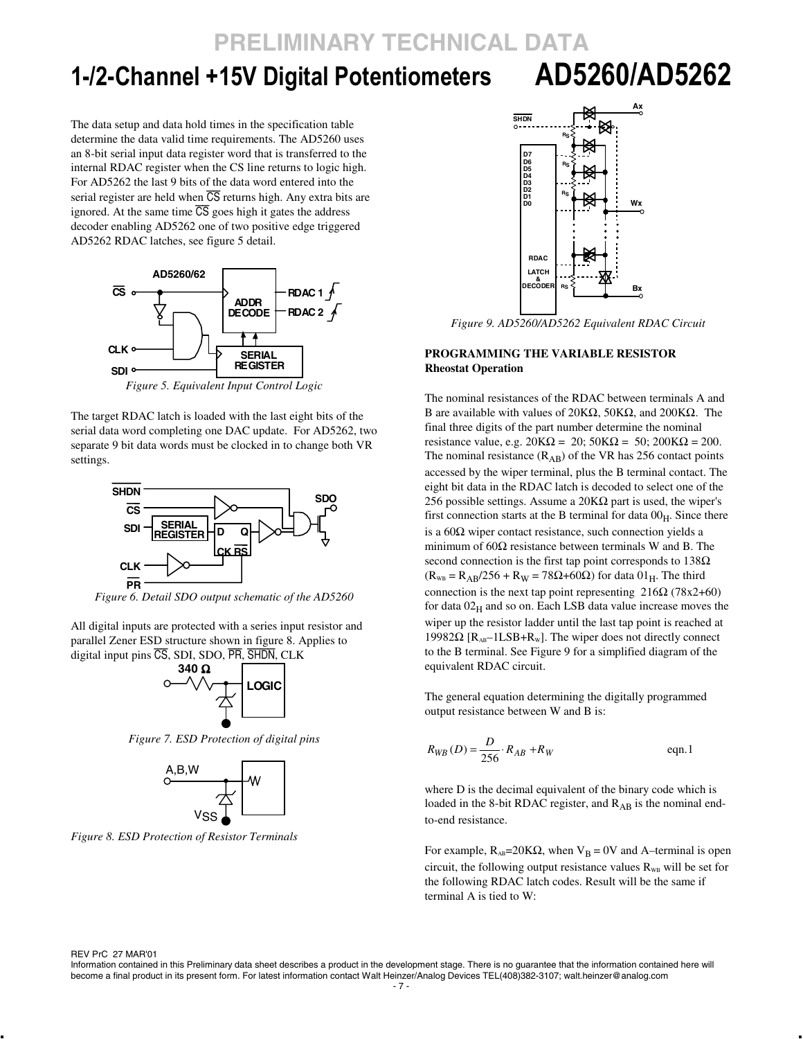# **1-/2-Channel +15V Digital Potentiometers AD5260/AD5262**

The data setup and data hold times in the specification table determine the data valid time requirements. The AD5260 uses an 8-bit serial input data register word that is transferred to the internal RDAC register when the CS line returns to logic high. For AD5262 the last 9 bits of the data word entered into the serial register are held when  $\overline{CS}$  returns high. Any extra bits are ignored. At the same time  $\overline{CS}$  goes high it gates the address decoder enabling AD5262 one of two positive edge triggered AD5262 RDAC latches, see figure 5 detail.



The target RDAC latch is loaded with the last eight bits of the serial data word completing one DAC update. For AD5262, two separate 9 bit data words must be clocked in to change both VR settings.



*Figure 6. Detail SDO output schematic of the AD5260* 

All digital inputs are protected with a series input resistor and parallel Zener ESD structure shown in figure 8. Applies to digital input pins CS, SDI, SDO, PR, SHDN, CLK



*Figure 7. ESD Protection of digital pins* 



*Figure 8. ESD Protection of Resistor Terminals*



*Figure 9. AD5260/AD5262 Equivalent RDAC Circuit* 

#### **PROGRAMMING THE VARIABLE RESISTOR Rheostat Operation**

The nominal resistances of the RDAC between terminals A and B are available with values of 20KΩ, 50KΩ, and 200KΩ. The final three digits of the part number determine the nominal resistance value, e.g.  $20K\Omega = 20$ ;  $50K\Omega = 50$ ;  $200K\Omega = 200$ . The nominal resistance  $(R_{AB})$  of the VR has 256 contact points accessed by the wiper terminal, plus the B terminal contact. The eight bit data in the RDAC latch is decoded to select one of the 256 possible settings. Assume a 20 $K\Omega$  part is used, the wiper's first connection starts at the B terminal for data  $00<sub>H</sub>$ . Since there is a  $60\Omega$  wiper contact resistance, such connection yields a minimum of  $60\Omega$  resistance between terminals W and B. The second connection is the first tap point corresponds to  $138\Omega$  $(R_{WB} = R_{AB}/256 + R_W = 78\Omega + 60\Omega)$  for data  $01_H$ . The third connection is the next tap point representing  $216\Omega$  (78x2+60) for data  $02<sub>H</sub>$  and so on. Each LSB data value increase moves the wiper up the resistor ladder until the last tap point is reached at 19982Ω [ $R_{AB}$ –1LSB+ $R_W$ ]. The wiper does not directly connect to the B terminal. See Figure 9 for a simplified diagram of the equivalent RDAC circuit.

The general equation determining the digitally programmed output resistance between W and B is:

$$
R_{WB}(D) = \frac{D}{256} \cdot R_{AB} + R_W
$$
eqn.1

where D is the decimal equivalent of the binary code which is loaded in the 8-bit RDAC register, and RAB is the nominal endto-end resistance.

For example,  $R_{AB}$ =20KΩ, when  $V_B$  = 0V and A–terminal is open circuit, the following output resistance values  $R_{WB}$  will be set for the following RDAC latch codes. Result will be the same if terminal A is tied to W:

REV PrC 27 MAR'01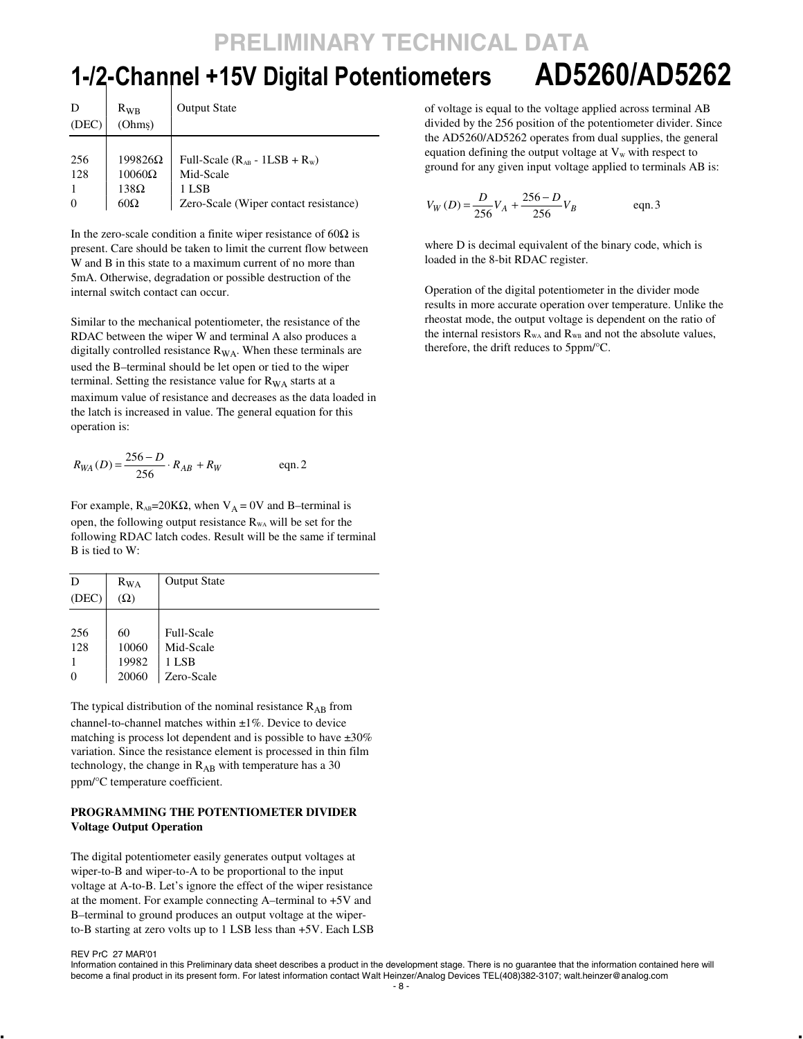# **1-/2-Channel +15V Digital Potentiometers AD5260/AD5262**

| (DEC)      | $R_{WR}$<br>(Ohms)              | <b>Output State</b>                             |
|------------|---------------------------------|-------------------------------------------------|
| 256<br>128 | $199826\Omega$<br>$10060\Omega$ | Full-Scale $(R_{AB} - 1LSB + R_w)$<br>Mid-Scale |
| $\Omega$   | $138\Omega$<br>$60\Omega$       | 1 LSB<br>Zero-Scale (Wiper contact resistance)  |

In the zero-scale condition a finite wiper resistance of  $60\Omega$  is present. Care should be taken to limit the current flow between W and B in this state to a maximum current of no more than 5mA. Otherwise, degradation or possible destruction of the internal switch contact can occur.

Similar to the mechanical potentiometer, the resistance of the RDAC between the wiper W and terminal A also produces a digitally controlled resistance  $R_{WA}$ . When these terminals are used the B–terminal should be let open or tied to the wiper terminal. Setting the resistance value for  $R_{WA}$  starts at a maximum value of resistance and decreases as the data loaded in the latch is increased in value. The general equation for this operation is:

$$
R_{WA}(D) = \frac{256 - D}{256} \cdot R_{AB} + R_W
$$
 eqn. 2

For example,  $R_{AB}$ =20K $\Omega$ , when  $V_A$  = 0V and B–terminal is open, the following output resistance  $R_{WA}$  will be set for the following RDAC latch codes. Result will be the same if terminal B is tied to W:

| D        | $R_{WA}$   | <b>Output State</b> |
|----------|------------|---------------------|
| (DEC)    | $(\Omega)$ |                     |
|          |            |                     |
| 256      | 60         | <b>Full-Scale</b>   |
| 128      | 10060      | Mid-Scale           |
|          | 19982      | 1 LSB               |
| $\theta$ | 20060      | Zero-Scale          |

The typical distribution of the nominal resistance  $R_{AB}$  from channel-to-channel matches within  $\pm 1\%$ . Device to device matching is process lot dependent and is possible to have  $\pm 30\%$ variation. Since the resistance element is processed in thin film technology, the change in  $R_{AB}$  with temperature has a 30 ppm/°C temperature coefficient.

#### **PROGRAMMING THE POTENTIOMETER DIVIDER Voltage Output Operation**

The digital potentiometer easily generates output voltages at wiper-to-B and wiper-to-A to be proportional to the input voltage at A-to-B. Let's ignore the effect of the wiper resistance at the moment. For example connecting A–terminal to +5V and at the moment. For example connecting A-terminal to +3 v and<br>B-terminal to ground produces an output voltage at the wiper-<br>to-B starting at zero volts up to 1 LSB less than +5V. Each LS to-B starting at zero volts up to 1 LSB less than +5V. Each LSB

of voltage is equal to the voltage applied across terminal AB divided by the 256 position of the potentiometer divider. Since the AD5260/AD5262 operates from dual supplies, the general equation defining the output voltage at  $V<sub>w</sub>$  with respect to ground for any given input voltage applied to terminals AB is:

$$
V_W(D) = \frac{D}{256}V_A + \frac{256 - D}{256}V_B
$$
 eqn.3

where D is decimal equivalent of the binary code, which is loaded in the 8-bit RDAC register.

Operation of the digital potentiometer in the divider mode results in more accurate operation over temperature. Unlike the rheostat mode, the output voltage is dependent on the ratio of the internal resistors  $R_{WA}$  and  $R_{WB}$  and not the absolute values, therefore, the drift reduces to 5ppm/°C.

REV PrC 27 MAR'01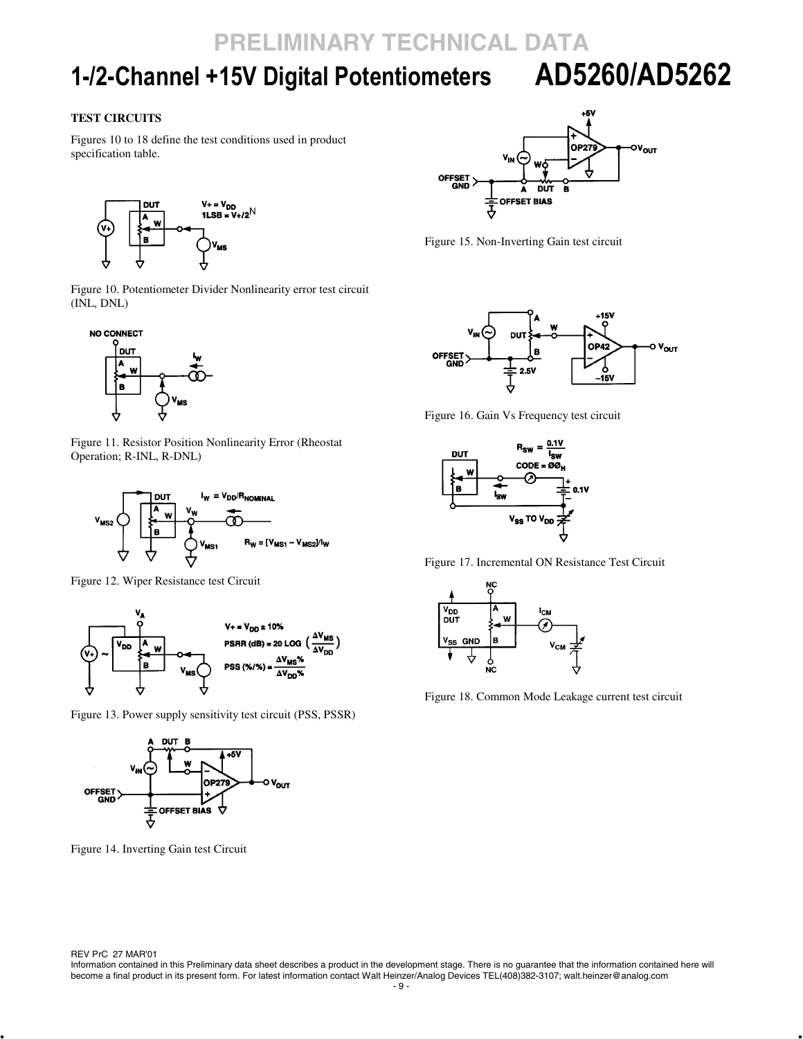# **1-/2-Channel +15V Digital Potentiometers AD5260/AD5262**

### **TEST CIRCUITS**

Figures 10 to 18 define the test conditions used in product specification table.



Figure 10. Potentiometer Divider Nonlinearity error test circuit (INL, DNL)



Figure 11. Resistor Position Nonlinearity Error (Rheostat Operation; R-INL, R-DNL)



Figure 12. Wiper Resistance test Circuit



Figure 13. Power supply sensitivity test circuit (PSS, PSSR)



Figure 14. Inverting Gain test Circuit



Figure 15. Non-Inverting Gain test circuit



Figure 16. Gain Vs Frequency test circuit



Figure 17. Incremental ON Resistance Test Circuit



Figure 18. Common Mode Leakage current test circuit

REV PrC 27 MAR'01